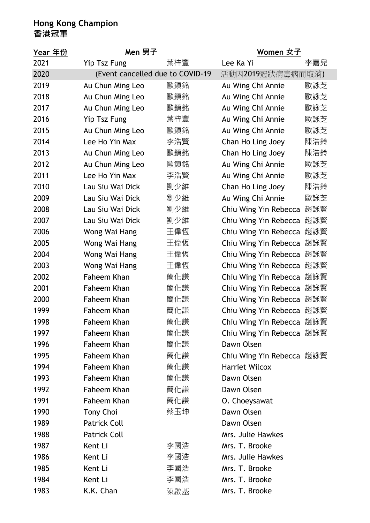## **Hong Kong Champion 香港冠軍**

| <u>Year 年份</u> | <u>Men 男子</u>                    |     | <u>Women 女子</u>           |     |
|----------------|----------------------------------|-----|---------------------------|-----|
| 2021           | <b>Yip Tsz Fung</b>              | 葉梓豐 | Lee Ka Yi                 | 李嘉兒 |
| 2020           | (Event cancelled due to COVID-19 |     | 活動因2019冠狀病毒病而取消)          |     |
| 2019           | Au Chun Ming Leo                 | 歐鎮銘 | Au Wing Chi Annie         | 歐詠芝 |
| 2018           | Au Chun Ming Leo                 | 歐鎮銘 | Au Wing Chi Annie         | 歐詠芝 |
| 2017           | Au Chun Ming Leo                 | 歐鎮銘 | Au Wing Chi Annie         | 歐詠芝 |
| 2016           | Yip Tsz Fung                     | 葉梓豐 | Au Wing Chi Annie         | 歐詠芝 |
| 2015           | Au Chun Ming Leo                 | 歐鎮銘 | Au Wing Chi Annie         | 歐詠芝 |
| 2014           | Lee Ho Yin Max                   | 李浩賢 | Chan Ho Ling Joey         | 陳浩鈴 |
| 2013           | Au Chun Ming Leo                 | 歐鎮銘 | Chan Ho Ling Joey         | 陳浩鈴 |
| 2012           | Au Chun Ming Leo                 | 歐鎮銘 | Au Wing Chi Annie         | 歐詠芝 |
| 2011           | Lee Ho Yin Max                   | 李浩賢 | Au Wing Chi Annie         | 歐詠芝 |
| 2010           | Lau Siu Wai Dick                 | 劉少維 | Chan Ho Ling Joey         | 陳浩鈴 |
| 2009           | Lau Siu Wai Dick                 | 劉少維 | Au Wing Chi Annie         | 歐詠芝 |
| 2008           | Lau Siu Wai Dick                 | 劉少維 | Chiu Wing Yin Rebecca     | 趙詠賢 |
| 2007           | Lau Siu Wai Dick                 | 劉少維 | Chiu Wing Yin Rebecca     | 趙詠賢 |
| 2006           | Wong Wai Hang                    | 王偉恆 | Chiu Wing Yin Rebecca     | 趙詠賢 |
| 2005           | Wong Wai Hang                    | 王偉恆 | Chiu Wing Yin Rebecca     | 趙詠賢 |
| 2004           | Wong Wai Hang                    | 王偉恆 | Chiu Wing Yin Rebecca     | 趙詠賢 |
| 2003           | Wong Wai Hang                    | 王偉恆 | Chiu Wing Yin Rebecca     | 趙詠賢 |
| 2002           | Faheem Khan                      | 簡化謙 | Chiu Wing Yin Rebecca     | 趙詠賢 |
| 2001           | Faheem Khan                      | 簡化謙 | Chiu Wing Yin Rebecca     | 趙詠賢 |
| 2000           | Faheem Khan                      | 簡化謙 | Chiu Wing Yin Rebecca     | 趙詠賢 |
| 1999           | Faheem Khan                      | 簡化謙 | Chiu Wing Yin Rebecca     | 趙詠賢 |
| 1998           | Faheem Khan                      | 簡化謙 | Chiu Wing Yin Rebecca     | 趙詠賢 |
| 1997           | Faheem Khan                      | 簡化謙 | Chiu Wing Yin Rebecca 趙詠賢 |     |
| 1996           | Faheem Khan                      | 簡化謙 | Dawn Olsen                |     |
| 1995           | Faheem Khan                      | 簡化謙 | Chiu Wing Yin Rebecca 趙詠賢 |     |
| 1994           | Faheem Khan                      | 簡化謙 | <b>Harriet Wilcox</b>     |     |
| 1993           | Faheem Khan                      | 簡化謙 | Dawn Olsen                |     |
| 1992           | Faheem Khan                      | 簡化謙 | Dawn Olsen                |     |
| 1991           | Faheem Khan                      | 簡化謙 | O. Choeysawat             |     |
| 1990           | <b>Tony Choi</b>                 | 蔡玉坤 | Dawn Olsen                |     |
| 1989           | <b>Patrick Coll</b>              |     | Dawn Olsen                |     |
| 1988           | <b>Patrick Coll</b>              |     | Mrs. Julie Hawkes         |     |
| 1987           | Kent Li                          | 李國浩 | Mrs. T. Brooke            |     |
| 1986           | Kent Li                          | 李國浩 | Mrs. Julie Hawkes         |     |
| 1985           | Kent Li                          | 李國浩 | Mrs. T. Brooke            |     |
| 1984           | Kent Li                          | 李國浩 | Mrs. T. Brooke            |     |
| 1983           | K.K. Chan                        | 陳啟基 | Mrs. T. Brooke            |     |